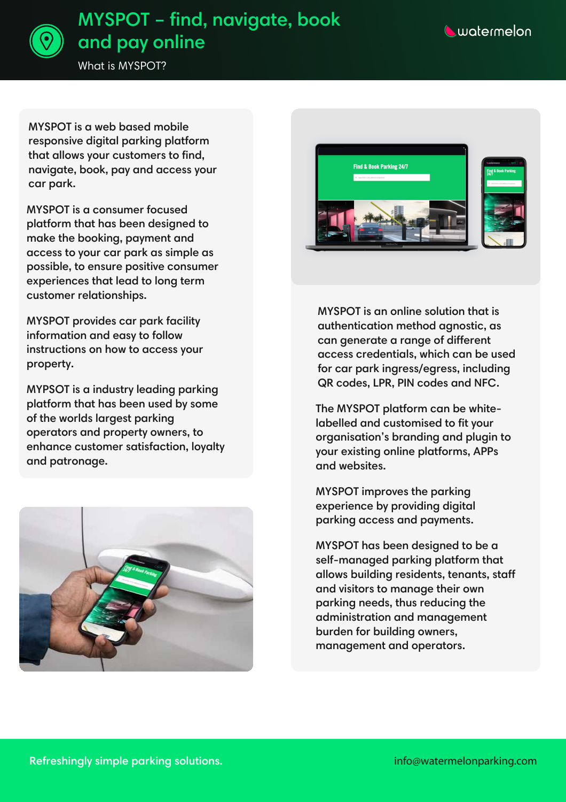**MYSPOT is a web based mobile responsive digital parking platform that allows your customers to find, navigate, book, pay and access your car park.** 

**MYSPOT is a consumer focused platform that has been designed to make the booking, payment and access to your car park as simple as possible, to ensure positive consumer experiences that lead to long term customer relationships.** 



**MYSPOT provides car park facility information and easy to follow instructions on how to access your property.** 

**MYPSOT is a industry leading parking platform that has been used by some of the worlds largest parking operators and property owners, to enhance customer satisfaction, loyalty and patronage.**





## **MYSPOT – find, navigate, book and pay online**



What is MYSPOT?

## **Refreshingly simple parking solutions.** info@watermelonparking.com

**MYSPOT is an online solution that is authentication method agnostic, as can generate a range of different access credentials, which can be used for car park ingress/egress, including QR codes, LPR, PIN codes and NFC.** 

**The MYSPOT platform can be whitelabelled and customised to fit your organisation's branding and plugin to your existing online platforms, APPs and websites.**

**MYSPOT improves the parking experience by providing digital parking access and payments.** 

**MYSPOT has been designed to be a self-managed parking platform that allows building residents, tenants, staff and visitors to manage their own parking needs, thus reducing the administration and management burden for building owners, management and operators.**